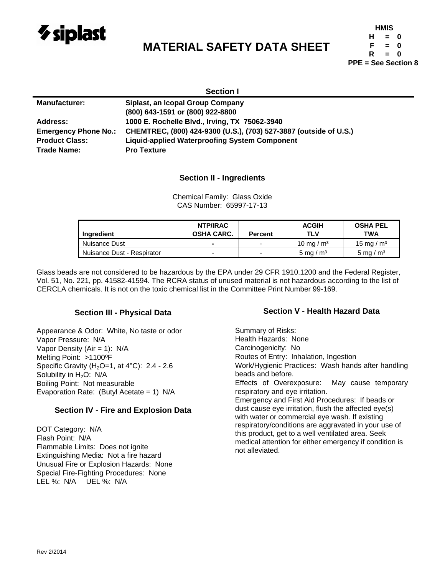

# **MATERIAL SAFETY DATA SHEET**

| HMIS                       |          |   |  |  |  |  |
|----------------------------|----------|---|--|--|--|--|
| н                          | $\equiv$ | Ω |  |  |  |  |
| F                          | $=$      | Ω |  |  |  |  |
| R                          | $=$      | n |  |  |  |  |
| <b>PPE = See Section 8</b> |          |   |  |  |  |  |

| <b>Section I</b>            |                                                                   |  |  |  |
|-----------------------------|-------------------------------------------------------------------|--|--|--|
| <b>Manufacturer:</b>        | Siplast, an Icopal Group Company                                  |  |  |  |
|                             | (800) 643-1591 or (800) 922-8800                                  |  |  |  |
| Address:                    | 1000 E. Rochelle Blvd., Irving, TX 75062-3940                     |  |  |  |
| <b>Emergency Phone No.:</b> | CHEMTREC, (800) 424-9300 (U.S.), (703) 527-3887 (outside of U.S.) |  |  |  |
| <b>Product Class:</b>       | <b>Liquid-applied Waterproofing System Component</b>              |  |  |  |
| Trade Name:                 | <b>Pro Texture</b>                                                |  |  |  |

# **Section II - Ingredients**

Chemical Family: Glass Oxide CAS Number: 65997-17-13

| Ingredient                 | NTP/IRAC<br><b>OSHA CARC.</b> | <b>Percent</b>           | <b>ACGIH</b><br>TLV  | <b>OSHA PEL</b><br>TWA |
|----------------------------|-------------------------------|--------------------------|----------------------|------------------------|
| Nuisance Dust              | ۰                             | $\overline{\phantom{a}}$ | 10 mg / $\text{m}^3$ | 15 mg / $\text{m}^3$   |
| Nuisance Dust - Respirator | -                             |                          | 5 mg / $\rm m3$      | 5 mg / $\rm m3$        |

Glass beads are not considered to be hazardous by the EPA under 29 CFR 1910.1200 and the Federal Register, Vol. 51, No. 221, pp. 41582-41594. The RCRA status of unused material is not hazardous according to the list of CERCLA chemicals. It is not on the toxic chemical list in the Committee Print Number 99-169.

# **Section III - Physical Data**

Appearance & Odor: White, No taste or odor Vapor Pressure: N/A Vapor Density (Air = 1): N/A Melting Point: >1100ºF Specific Gravity ( $H<sub>2</sub>O=1$ , at  $4^{\circ}$ C): 2.4 - 2.6 Solubility in  $H_2O$ : N/A Boiling Point: Not measurable Evaporation Rate: (Butyl Acetate = 1) N/A

# **Section IV - Fire and Explosion Data**

DOT Category: N/A Flash Point: N/A Flammable Limits: Does not ignite Extinguishing Media: Not a fire hazard Unusual Fire or Explosion Hazards: None Special Fire-Fighting Procedures: None LEL %: N/A UEL %: N/A

#### **Section V - Health Hazard Data**

Summary of Risks: Health Hazards: None Carcinogenicity: No Routes of Entry: Inhalation, Ingestion Work/Hygienic Practices: Wash hands after handling beads and before. Effects of Overexposure: May cause temporary respiratory and eye irritation. Emergency and First Aid Procedures: If beads or dust cause eye irritation, flush the affected eye(s) with water or commercial eye wash. If existing respiratory/conditions are aggravated in your use of this product, get to a well ventilated area. Seek medical attention for either emergency if condition is not alleviated.